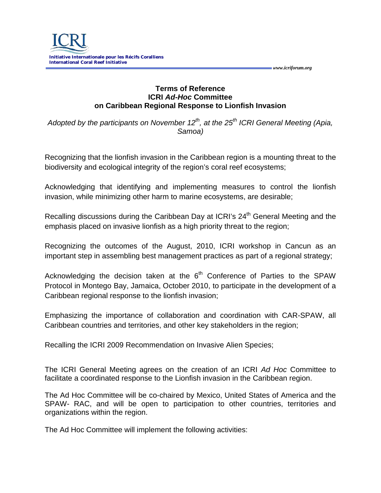

## **Terms of Reference ICRI** *Ad-Hoc* **Committee on Caribbean Regional Response to Lionfish Invasion**

 *www.icriforum.org* 

*Adopted by the participants on November 12<sup>th</sup>, at the 25<sup>th</sup> ICRI General Meeting (Apia, Samoa)*

Recognizing that the lionfish invasion in the Caribbean region is a mounting threat to the biodiversity and ecological integrity of the region's coral reef ecosystems;

Acknowledging that identifying and implementing measures to control the lionfish invasion, while minimizing other harm to marine ecosystems, are desirable;

Recalling discussions during the Caribbean Day at ICRI's 24<sup>th</sup> General Meeting and the emphasis placed on invasive lionfish as a high priority threat to the region;

Recognizing the outcomes of the August, 2010, ICRI workshop in Cancun as an important step in assembling best management practices as part of a regional strategy;

Acknowledging the decision taken at the  $6<sup>th</sup>$  Conference of Parties to the SPAW Protocol in Montego Bay, Jamaica, October 2010, to participate in the development of a Caribbean regional response to the lionfish invasion;

Emphasizing the importance of collaboration and coordination with CAR-SPAW, all Caribbean countries and territories, and other key stakeholders in the region;

Recalling the ICRI 2009 Recommendation on Invasive Alien Species;

The ICRI General Meeting agrees on the creation of an ICRI *Ad Hoc* Committee to facilitate a coordinated response to the Lionfish invasion in the Caribbean region.

The Ad Hoc Committee will be co-chaired by Mexico, United States of America and the SPAW- RAC, and will be open to participation to other countries, territories and organizations within the region.

The Ad Hoc Committee will implement the following activities: